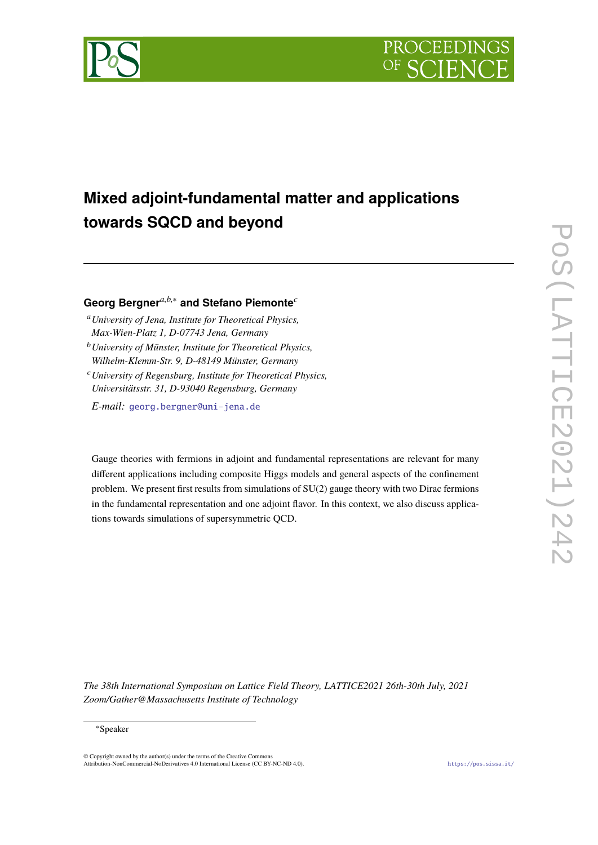



# **Mixed adjoint-fundamental matter and applications towards SQCD and beyond**

## **Georg Bergner***a*,*b*,<sup>∗</sup> **and Stefano Piemonte***<sup>c</sup>*

- <sup>a</sup>*University of Jena, Institute for Theoretical Physics, Max-Wien-Platz 1, D-07743 Jena, Germany*
- <sup>b</sup>*University of Münster, Institute for Theoretical Physics, Wilhelm-Klemm-Str. 9, D-48149 Münster, Germany*
- <sup>c</sup>*University of Regensburg, Institute for Theoretical Physics, Universitätsstr. 31, D-93040 Regensburg, Germany*

*E-mail:* [georg.bergner@uni-jena.de](mailto:georg.bergner@uni-jena.de)

Gauge theories with fermions in adjoint and fundamental representations are relevant for many different applications including composite Higgs models and general aspects of the confinement problem. We present first results from simulations of SU(2) gauge theory with two Dirac fermions in the fundamental representation and one adjoint flavor. In this context, we also discuss applications towards simulations of supersymmetric QCD.

*The 38th International Symposium on Lattice Field Theory, LATTICE2021 26th-30th July, 2021 Zoom/Gather@Massachusetts Institute of Technology*

#### <sup>∗</sup>Speaker

© Copyright owned by the author(s) under the terms of the Creative Commons Attribution-NonCommercial-NoDerivatives 4.0 International License (CC BY-NC-ND 4.0). <https://pos.sissa.it/>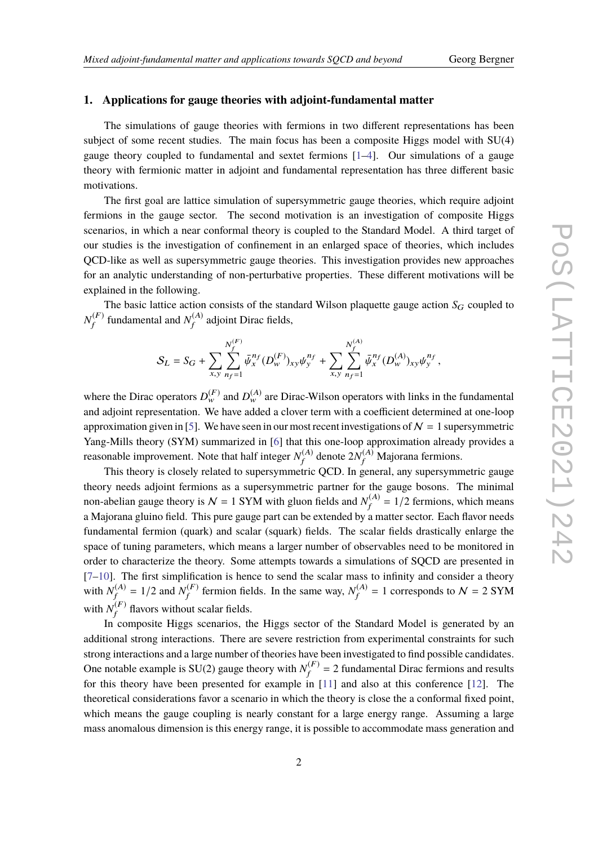## **1. Applications for gauge theories with adjoint-fundamental matter**

The simulations of gauge theories with fermions in two different representations has been subject of some recent studies. The main focus has been a composite Higgs model with SU(4) gauge theory coupled to fundamental and sextet fermions  $[1-4]$  $[1-4]$ . Our simulations of a gauge theory with fermionic matter in adjoint and fundamental representation has three different basic motivations.

The first goal are lattice simulation of supersymmetric gauge theories, which require adjoint fermions in the gauge sector. The second motivation is an investigation of composite Higgs scenarios, in which a near conformal theory is coupled to the Standard Model. A third target of our studies is the investigation of confinement in an enlarged space of theories, which includes QCD-like as well as supersymmetric gauge theories. This investigation provides new approaches for an analytic understanding of non-perturbative properties. These different motivations will be explained in the following.

The basic lattice action consists of the standard Wilson plaquette gauge action  $S_G$  coupled to  $N_{\rm f}^{(F)}$  $f_f^{(F)}$  fundamental and  $N_f^{(A)}$  $f_f^{(A)}$  adjoint Dirac fields,

$$
S_L = S_G + \sum_{x,y} \sum_{n_f=1}^{N_f^{(F)}} \bar{\psi}_x^{n_f} (D_w^{(F)})_{xy} \psi_y^{n_f} + \sum_{x,y} \sum_{n_f=1}^{N_f^{(A)}} \bar{\psi}_x^{n_f} (D_w^{(A)})_{xy} \psi_y^{n_f},
$$

where the Dirac operators  $D_{w}^{(F)}$  and  $D_{w}^{(A)}$  are Dirac-Wilson operators with links in the fundamental and adjoint representation. We have added a clover term with a coefficient determined at one-loop approximation given in [\[5\]](#page-6-2). We have seen in our most recent investigations of  $\mathcal{N} = 1$  supersymmetric Yang-Mills theory (SYM) summarized in [\[6\]](#page-6-3) that this one-loop approximation already provides a reasonable improvement. Note that half integer  $N_f^{(A)}$  $f_f^{(A)}$  denote  $2N_f^{(A)}$  Majorana fermions.

This theory is closely related to supersymmetric QCD. In general, any supersymmetric gauge theory needs adjoint fermions as a supersymmetric partner for the gauge bosons. The minimal non-abelian gauge theory is  $N = 1$  SYM with gluon fields and  $N_f^{(A)}$  $f_f^{(A)} = 1/2$  fermions, which means a Majorana gluino field. This pure gauge part can be extended by a matter sector. Each flavor needs fundamental fermion (quark) and scalar (squark) fields. The scalar fields drastically enlarge the space of tuning parameters, which means a larger number of observables need to be monitored in order to characterize the theory. Some attempts towards a simulations of SQCD are presented in  $[7–10]$  $[7–10]$ . The first simplification is hence to send the scalar mass to infinity and consider a theory with  $N_f^{(A)}$  $f_f^{(A)} = 1/2$  and  $N_f^{(F)}$  $f_f^{(F)}$  fermion fields. In the same way,  $N_f^{(A)}$  $f_f^{(A)} = 1$  corresponds to  $\mathcal{N} = 2$  SYM with  $N_f^{(F)}$  $f_f^{(r)}$  flavors without scalar fields.

In composite Higgs scenarios, the Higgs sector of the Standard Model is generated by an additional strong interactions. There are severe restriction from experimental constraints for such strong interactions and a large number of theories have been investigated to find possible candidates. One notable example is SU(2) gauge theory with  $N_f^{(F)}$  $f_f^{(F)} = 2$  fundamental Dirac fermions and results for this theory have been presented for example in [\[11\]](#page-6-6) and also at this conference [\[12\]](#page-6-7). The theoretical considerations favor a scenario in which the theory is close the a conformal fixed point, which means the gauge coupling is nearly constant for a large energy range. Assuming a large mass anomalous dimension is this energy range, it is possible to accommodate mass generation and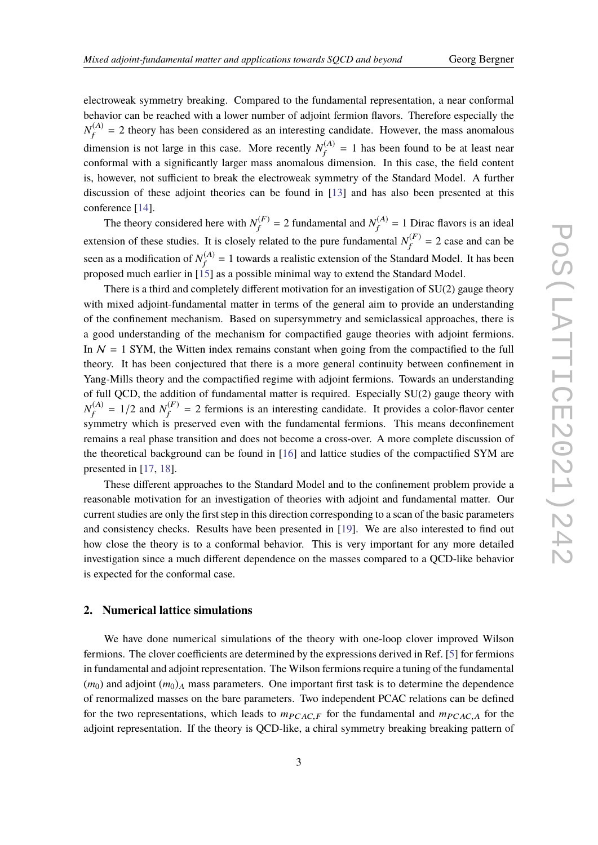electroweak symmetry breaking. Compared to the fundamental representation, a near conformal behavior can be reached with a lower number of adjoint fermion flavors. Therefore especially the  $N^{(A)}_\mathit{f}$  $f_f^{(A)}$  = 2 theory has been considered as an interesting candidate. However, the mass anomalous dimension is not large in this case. More recently  $N_f^{(A)}$  $f_f^{(A)}$  = 1 has been found to be at least near conformal with a significantly larger mass anomalous dimension. In this case, the field content is, however, not sufficient to break the electroweak symmetry of the Standard Model. A further discussion of these adjoint theories can be found in [\[13\]](#page-7-0) and has also been presented at this conference [\[14\]](#page-7-1).

The theory considered here with  $N_f^{(F)}$  $f_f^{(F)}$  = 2 fundamental and  $N_f^{(A)}$  $f_f^{(A)} = 1$  Dirac flavors is an ideal extension of these studies. It is closely related to the pure fundamental  $N_f^{(F)}$  $f_f^{(r)} = 2$  case and can be seen as a modification of  $N_f^{(A)}$  $f_f^{(A)} = 1$  towards a realistic extension of the Standard Model. It has been proposed much earlier in [\[15\]](#page-7-2) as a possible minimal way to extend the Standard Model.

There is a third and completely different motivation for an investigation of SU(2) gauge theory with mixed adjoint-fundamental matter in terms of the general aim to provide an understanding of the confinement mechanism. Based on supersymmetry and semiclassical approaches, there is a good understanding of the mechanism for compactified gauge theories with adjoint fermions. In  $N = 1$  SYM, the Witten index remains constant when going from the compactified to the full theory. It has been conjectured that there is a more general continuity between confinement in Yang-Mills theory and the compactified regime with adjoint fermions. Towards an understanding of full QCD, the addition of fundamental matter is required. Especially SU(2) gauge theory with  $N_f^{(A)}$  $f_f^{(A)} = 1/2$  and  $N_f^{(F)}$  $f_f^{(r)}$  = 2 fermions is an interesting candidate. It provides a color-flavor center symmetry which is preserved even with the fundamental fermions. This means deconfinement remains a real phase transition and does not become a cross-over. A more complete discussion of the theoretical background can be found in [\[16\]](#page-7-3) and lattice studies of the compactified SYM are presented in [\[17,](#page-7-4) [18\]](#page-7-5).

These different approaches to the Standard Model and to the confinement problem provide a reasonable motivation for an investigation of theories with adjoint and fundamental matter. Our current studies are only the first step in this direction corresponding to a scan of the basic parameters and consistency checks. Results have been presented in [\[19\]](#page-7-6). We are also interested to find out how close the theory is to a conformal behavior. This is very important for any more detailed investigation since a much different dependence on the masses compared to a QCD-like behavior is expected for the conformal case.

## **2. Numerical lattice simulations**

We have done numerical simulations of the theory with one-loop clover improved Wilson fermions. The clover coefficients are determined by the expressions derived in Ref. [\[5\]](#page-6-2) for fermions in fundamental and adjoint representation. The Wilson fermions require a tuning of the fundamental  $(m_0)$  and adjoint  $(m_0)_A$  mass parameters. One important first task is to determine the dependence of renormalized masses on the bare parameters. Two independent PCAC relations can be defined for the two representations, which leads to  $m_{PC,AC,F}$  for the fundamental and  $m_{PC,AC,A}$  for the adjoint representation. If the theory is QCD-like, a chiral symmetry breaking breaking pattern of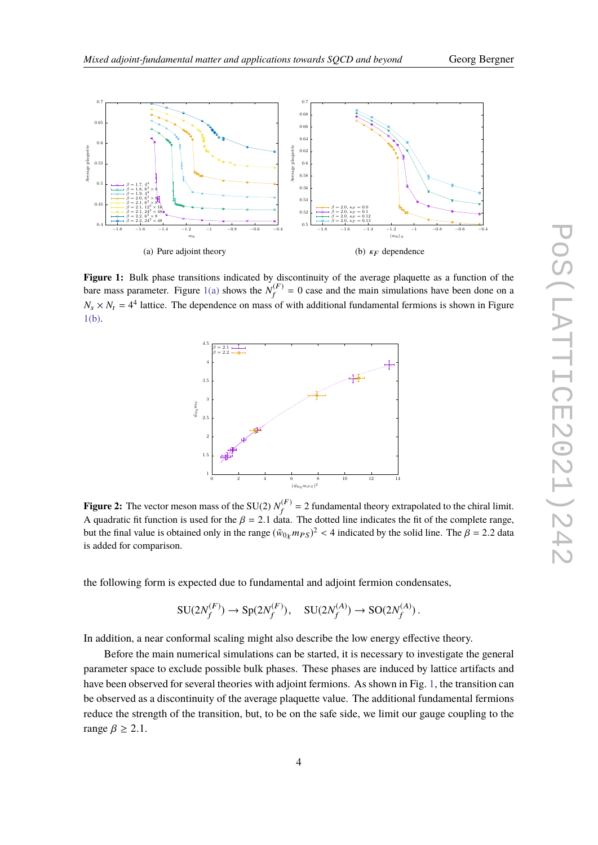<span id="page-3-2"></span><span id="page-3-0"></span>

<span id="page-3-3"></span>Figure 1: Bulk phase transitions indicated by discontinuity of the average plaquette as a function of the bare mass parameter. Figure [1\(a\)](#page-3-0) shows the  $N_f^{(F)}$  $f_f^{(F)} = 0$  case and the main simulations have been done on a  $N_s \times N_t = 4^4$  lattice. The dependence on mass of with additional fundamental fermions is shown in Figure [1\(b\).](#page-3-1)

<span id="page-3-1"></span>

**Figure 2:** The vector meson mass of the SU(2)  $N_f^{(F)}$  $f_f^{(F)} = 2$  fundamental theory extrapolated to the chiral limit. A quadratic fit function is used for the  $\beta = 2.1$  data. The dotted line indicates the fit of the complete range, but the final value is obtained only in the range  $(\tilde{w}_{0\chi} m_{PS})^2 < 4$  indicated by the solid line. The  $\beta = 2.2$  data is added for competitor. is added for comparison.

the following form is expected due to fundamental and adjoint fermion condensates,

$$
SU(2N_f^{(F)}) \to Sp(2N_f^{(F)}), \quad SU(2N_f^{(A)}) \to SO(2N_f^{(A)}).
$$

In addition, a near conformal scaling might also describe the low energy effective theory.

Before the main numerical simulations can be started, it is necessary to investigate the general parameter space to exclude possible bulk phases. These phases are induced by lattice artifacts and have been observed for several theories with adjoint fermions. As shown in Fig. [1,](#page-3-2) the transition can be observed as a discontinuity of the average plaquette value. The additional fundamental fermions reduce the strength of the transition, but, to be on the safe side, we limit our gauge coupling to the range  $\beta \geq 2.1$ .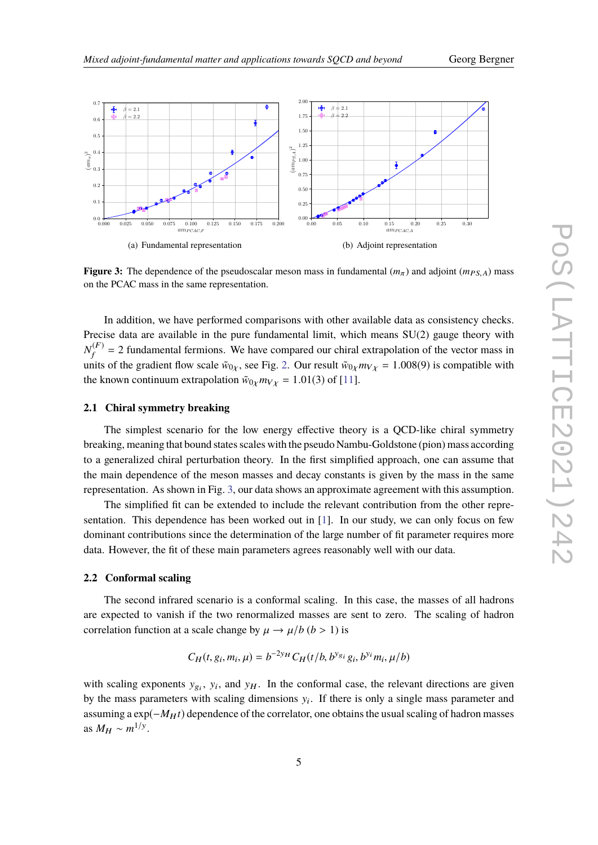

<span id="page-4-0"></span>

**Figure 3:** The dependence of the pseudoscalar meson mass in fundamental  $(m_\pi)$  and adjoint  $(m_{PS,A})$  mass on the PCAC mass in the same representation.

In addition, we have performed comparisons with other available data as consistency checks. Precise data are available in the pure fundamental limit, which means SU(2) gauge theory with  $N_f^{(F)}$  $f_f^{(r)}$  = 2 fundamental fermions. We have compared our chiral extrapolation of the vector mass in units of the gradient flow scale  $\tilde{w}_{0\chi}$ , see Fig. [2.](#page-3-3) Our result  $\tilde{w}_{0\chi}m_{V\chi} = 1.008(9)$  is compatible with the known continuum extrapolation  $\tilde{w}_{0\chi} m_{V\chi} = 1.01(3)$  of [\[11\]](#page-6-6).

#### **2.1 Chiral symmetry breaking**

The simplest scenario for the low energy effective theory is a QCD-like chiral symmetry breaking, meaning that bound states scales with the pseudo Nambu-Goldstone (pion) mass according to a generalized chiral perturbation theory. In the first simplified approach, one can assume that the main dependence of the meson masses and decay constants is given by the mass in the same representation. As shown in Fig. [3,](#page-4-0) our data shows an approximate agreement with this assumption.

The simplified fit can be extended to include the relevant contribution from the other representation. This dependence has been worked out in [\[1\]](#page-6-0). In our study, we can only focus on few dominant contributions since the determination of the large number of fit parameter requires more data. However, the fit of these main parameters agrees reasonably well with our data.

#### **2.2 Conformal scaling**

The second infrared scenario is a conformal scaling. In this case, the masses of all hadrons are expected to vanish if the two renormalized masses are sent to zero. The scaling of hadron correlation function at a scale change by  $\mu \rightarrow \mu/b$  (*b* > 1) is

$$
C_H(t, g_i, m_i, \mu) = b^{-2y_H} C_H(t/b, b^{y_g} i g_i, b^{y_i} m_i, \mu/b)
$$

with scaling exponents  $y_{gi}$ ,  $y_i$ , and  $y_H$ . In the conformal case, the relevant directions are given by the mass parameters with scaling dimensions  $y_i$ . If there is only a single mass parameter and assuming a exp( $-M_H t$ ) dependence of the correlator, one obtains the usual scaling of hadron masses as  $M_H \sim m^{1/y}$ .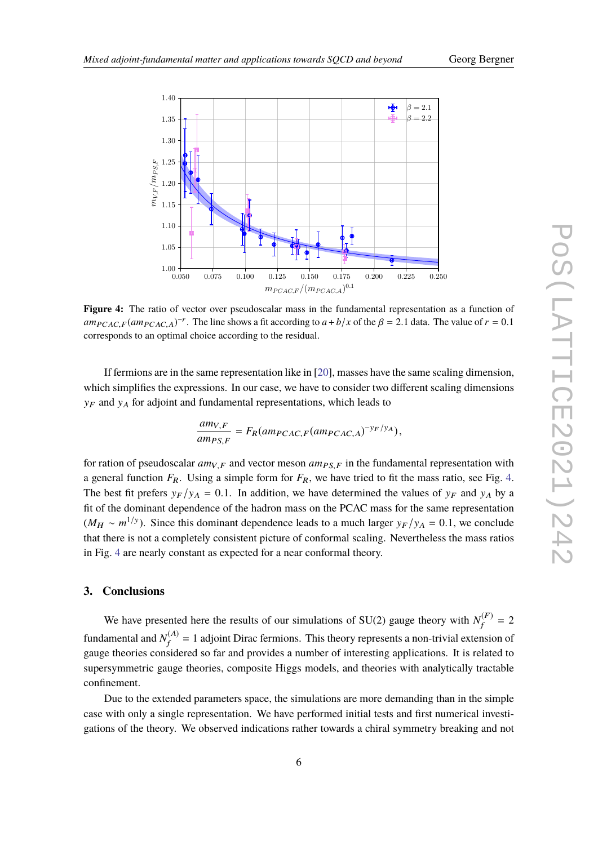<span id="page-5-0"></span>

Figure 4: The ratio of vector over pseudoscalar mass in the fundamental representation as a function of  $am_{PCAC,F}(am_{PCAC,A})^{-r}$ . The line shows a fit according to  $a+b/x$  of the  $\beta = 2.1$  data. The value of  $r = 0.1$ corresponds to an optimal choice according to the residual.

If fermions are in the same representation like in [\[20\]](#page-7-7), masses have the same scaling dimension, which simplifies the expressions. In our case, we have to consider two different scaling dimensions  $y_F$  and  $y_A$  for adjoint and fundamental representations, which leads to

$$
\frac{am_{V,F}}{am_{PS,F}} = F_R(am_{PCAC,F}(am_{PCAC,A})^{-y_F/y_A}),
$$

for ration of pseudoscalar  $am_{V,F}$  and vector meson  $am_{PS,F}$  in the fundamental representation with a general function  $F_R$ . Using a simple form for  $F_R$ , we have tried to fit the mass ratio, see Fig. [4.](#page-5-0) The best fit prefers  $y_F/y_A = 0.1$ . In addition, we have determined the values of  $y_F$  and  $y_A$  by a fit of the dominant dependence of the hadron mass on the PCAC mass for the same representation  $(M_H \sim m^{1/y})$ . Since this dominant dependence leads to a much larger  $y_F/y_A = 0.1$ , we conclude that there is not a completely consistent nighting of conformal colling. Navaribals the mass ratios that there is not a completely consistent picture of conformal scaling. Nevertheless the mass ratios in Fig. [4](#page-5-0) are nearly constant as expected for a near conformal theory.

## **3. Conclusions**

We have presented here the results of our simulations of SU(2) gauge theory with  $N_f^{(F)}$  $f_f^{(r)} = 2$ fundamental and  $N_f^{(A)}$  $f_f^{(A)} = 1$  adjoint Dirac fermions. This theory represents a non-trivial extension of gauge theories considered so far and provides a number of interesting applications. It is related to supersymmetric gauge theories, composite Higgs models, and theories with analytically tractable confinement.

Due to the extended parameters space, the simulations are more demanding than in the simple case with only a single representation. We have performed initial tests and first numerical investigations of the theory. We observed indications rather towards a chiral symmetry breaking and not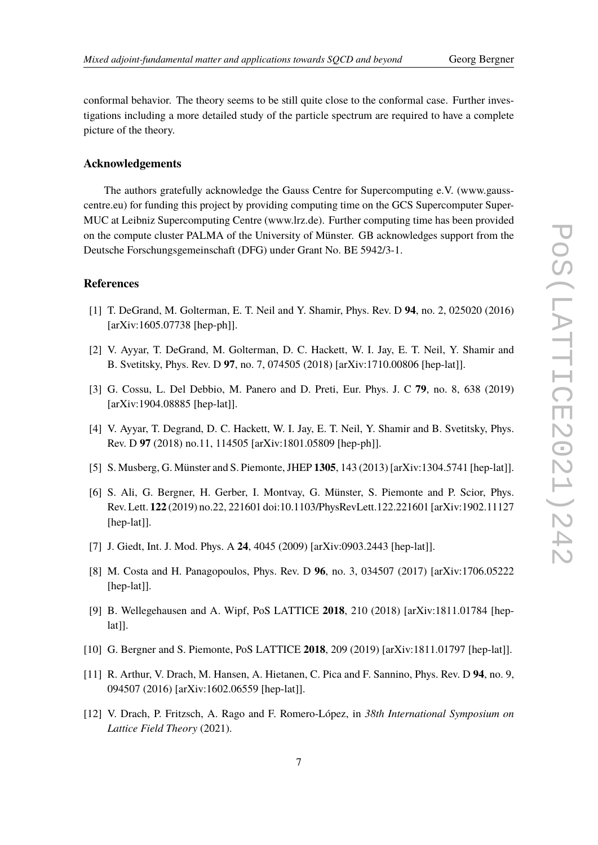conformal behavior. The theory seems to be still quite close to the conformal case. Further investigations including a more detailed study of the particle spectrum are required to have a complete picture of the theory.

## **Acknowledgements**

The authors gratefully acknowledge the Gauss Centre for Supercomputing e.V. (www.gausscentre.eu) for funding this project by providing computing time on the GCS Supercomputer Super-MUC at Leibniz Supercomputing Centre (www.lrz.de). Further computing time has been provided on the compute cluster PALMA of the University of Münster. GB acknowledges support from the Deutsche Forschungsgemeinschaft (DFG) under Grant No. BE 5942/3-1.

## **References**

- <span id="page-6-0"></span>[1] T. DeGrand, M. Golterman, E. T. Neil and Y. Shamir, Phys. Rev. D **94**, no. 2, 025020 (2016) [arXiv:1605.07738 [hep-ph]].
- [2] V. Ayyar, T. DeGrand, M. Golterman, D. C. Hackett, W. I. Jay, E. T. Neil, Y. Shamir and B. Svetitsky, Phys. Rev. D **97**, no. 7, 074505 (2018) [arXiv:1710.00806 [hep-lat]].
- [3] G. Cossu, L. Del Debbio, M. Panero and D. Preti, Eur. Phys. J. C **79**, no. 8, 638 (2019) [arXiv:1904.08885 [hep-lat]].
- <span id="page-6-1"></span>[4] V. Ayyar, T. Degrand, D. C. Hackett, W. I. Jay, E. T. Neil, Y. Shamir and B. Svetitsky, Phys. Rev. D **97** (2018) no.11, 114505 [arXiv:1801.05809 [hep-ph]].
- <span id="page-6-2"></span>[5] S. Musberg, G. Münster and S. Piemonte, JHEP **1305**, 143 (2013) [arXiv:1304.5741 [hep-lat]].
- <span id="page-6-3"></span>[6] S. Ali, G. Bergner, H. Gerber, I. Montvay, G. Münster, S. Piemonte and P. Scior, Phys. Rev. Lett. **122** (2019) no.22, 221601 doi:10.1103/PhysRevLett.122.221601 [arXiv:1902.11127 [hep-lat]].
- <span id="page-6-4"></span>[7] J. Giedt, Int. J. Mod. Phys. A **24**, 4045 (2009) [arXiv:0903.2443 [hep-lat]].
- [8] M. Costa and H. Panagopoulos, Phys. Rev. D **96**, no. 3, 034507 (2017) [arXiv:1706.05222 [hep-lat]].
- [9] B. Wellegehausen and A. Wipf, PoS LATTICE **2018**, 210 (2018) [arXiv:1811.01784 [hep $lat$ ].
- <span id="page-6-5"></span>[10] G. Bergner and S. Piemonte, PoS LATTICE **2018**, 209 (2019) [arXiv:1811.01797 [hep-lat]].
- <span id="page-6-6"></span>[11] R. Arthur, V. Drach, M. Hansen, A. Hietanen, C. Pica and F. Sannino, Phys. Rev. D **94**, no. 9, 094507 (2016) [arXiv:1602.06559 [hep-lat]].
- <span id="page-6-7"></span>[12] V. Drach, P. Fritzsch, A. Rago and F. Romero-López, in *38th International Symposium on Lattice Field Theory* (2021).